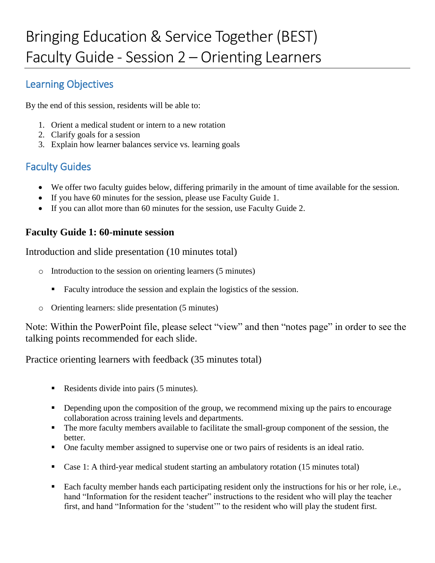## Learning Objectives

By the end of this session, residents will be able to:

- 1. Orient a medical student or intern to a new rotation
- 2. Clarify goals for a session
- 3. Explain how learner balances service vs. learning goals

# Faculty Guides

- We offer two faculty guides below, differing primarily in the amount of time available for the session.
- If you have 60 minutes for the session, please use Faculty Guide 1.
- If you can allot more than 60 minutes for the session, use Faculty Guide 2.

### **Faculty Guide 1: 60-minute session**

Introduction and slide presentation (10 minutes total)

- o Introduction to the session on orienting learners (5 minutes)
	- Faculty introduce the session and explain the logistics of the session.
- o Orienting learners: slide presentation (5 minutes)

Note: Within the PowerPoint file, please select "view" and then "notes page" in order to see the talking points recommended for each slide.

Practice orienting learners with feedback (35 minutes total)

- Residents divide into pairs (5 minutes).
- Depending upon the composition of the group, we recommend mixing up the pairs to encourage collaboration across training levels and departments.
- The more faculty members available to facilitate the small-group component of the session, the better.
- One faculty member assigned to supervise one or two pairs of residents is an ideal ratio.
- Case 1: A third-year medical student starting an ambulatory rotation (15 minutes total)
- Each faculty member hands each participating resident only the instructions for his or her role, i.e., hand "Information for the resident teacher" instructions to the resident who will play the teacher first, and hand "Information for the 'student'" to the resident who will play the student first.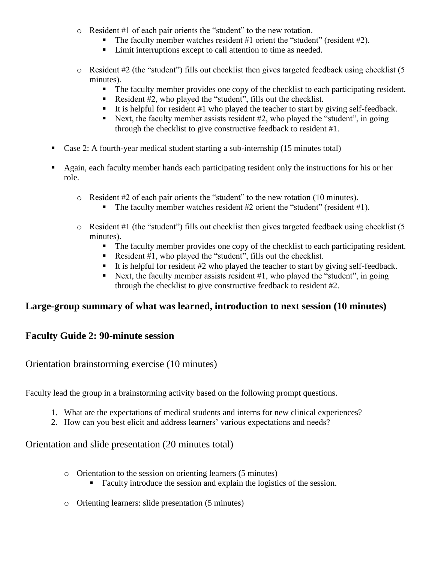- o Resident #1 of each pair orients the "student" to the new rotation.
	- The faculty member watches resident  $#1$  orient the "student" (resident  $#2$ ).
	- Limit interruptions except to call attention to time as needed.
- o Resident #2 (the "student") fills out checklist then gives targeted feedback using checklist (5 minutes).
	- The faculty member provides one copy of the checklist to each participating resident.
	- Resident  $#2$ , who played the "student", fills out the checklist.
	- It is helpful for resident  $#1$  who played the teacher to start by giving self-feedback.
	- Next, the faculty member assists resident  $#2$ , who played the "student", in going through the checklist to give constructive feedback to resident #1.
- Case 2: A fourth-year medical student starting a sub-internship (15 minutes total)
- Again, each faculty member hands each participating resident only the instructions for his or her role.
	- o Resident #2 of each pair orients the "student" to the new rotation (10 minutes).
		- The faculty member watches resident  $#2$  orient the "student" (resident  $#1$ ).
	- o Resident #1 (the "student") fills out checklist then gives targeted feedback using checklist (5 minutes).
		- The faculty member provides one copy of the checklist to each participating resident.
		- Resident  $#1$ , who played the "student", fills out the checklist.
		- It is helpful for resident  $#2$  who played the teacher to start by giving self-feedback.
		- Next, the faculty member assists resident  $#1$ , who played the "student", in going through the checklist to give constructive feedback to resident #2.

### **Large-group summary of what was learned, introduction to next session (10 minutes)**

### **Faculty Guide 2: 90-minute session**

Orientation brainstorming exercise (10 minutes)

Faculty lead the group in a brainstorming activity based on the following prompt questions.

- 1. What are the expectations of medical students and interns for new clinical experiences?
- 2. How can you best elicit and address learners' various expectations and needs?

#### Orientation and slide presentation (20 minutes total)

- o Orientation to the session on orienting learners (5 minutes)
	- Faculty introduce the session and explain the logistics of the session.
- o Orienting learners: slide presentation (5 minutes)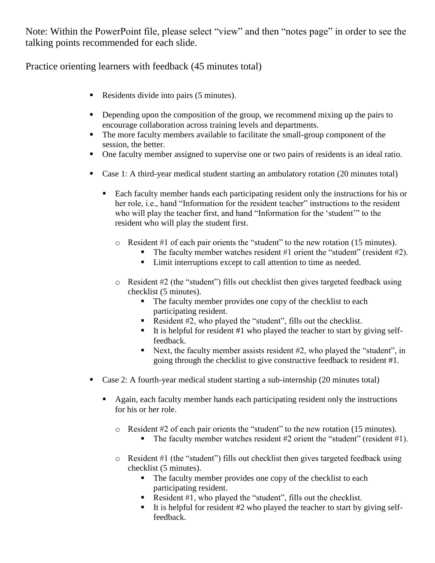Note: Within the PowerPoint file, please select "view" and then "notes page" in order to see the talking points recommended for each slide.

Practice orienting learners with feedback (45 minutes total)

- Residents divide into pairs (5 minutes).
- Depending upon the composition of the group, we recommend mixing up the pairs to encourage collaboration across training levels and departments.
- The more faculty members available to facilitate the small-group component of the session, the better.
- One faculty member assigned to supervise one or two pairs of residents is an ideal ratio.
- Case 1: A third-year medical student starting an ambulatory rotation (20 minutes total)
	- Each faculty member hands each participating resident only the instructions for his or her role, i.e., hand "Information for the resident teacher" instructions to the resident who will play the teacher first, and hand "Information for the 'student'" to the resident who will play the student first.
		- o Resident #1 of each pair orients the "student" to the new rotation (15 minutes).
			- The faculty member watches resident  $#1$  orient the "student" (resident  $#2$ ).
			- Limit interruptions except to call attention to time as needed.
		- o Resident #2 (the "student") fills out checklist then gives targeted feedback using checklist (5 minutes).
			- The faculty member provides one copy of the checklist to each participating resident.
			- Resident  $#2$ , who played the "student", fills out the checklist.
			- It is helpful for resident  $#1$  who played the teacher to start by giving selffeedback.
			- Next, the faculty member assists resident  $#2$ , who played the "student", in going through the checklist to give constructive feedback to resident #1.
- Case 2: A fourth-year medical student starting a sub-internship (20 minutes total)
	- Again, each faculty member hands each participating resident only the instructions for his or her role.
		- o Resident #2 of each pair orients the "student" to the new rotation (15 minutes).
			- The faculty member watches resident  $#2$  orient the "student" (resident  $#1$ ).
		- o Resident #1 (the "student") fills out checklist then gives targeted feedback using checklist (5 minutes).
			- The faculty member provides one copy of the checklist to each participating resident.
			- Resident  $#1$ , who played the "student", fills out the checklist.
			- It is helpful for resident  $#2$  who played the teacher to start by giving selffeedback.